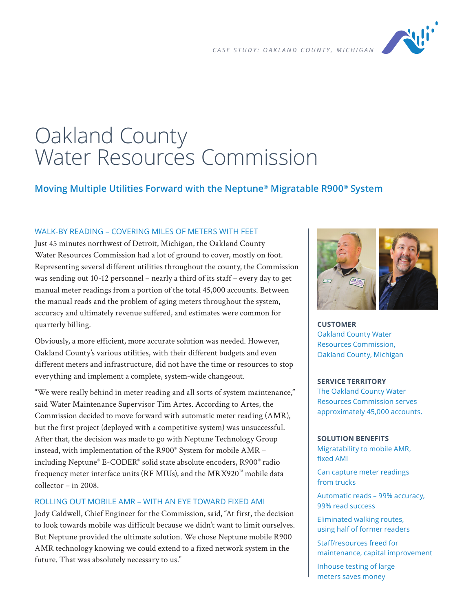

# Oakland County Water Resources Commission

# **Moving Multiple Utilities Forward with the Neptune® Migratable R900® System**

## WALK-BY READING – COVERING MILES OF METERS WITH FEET

Just 45 minutes northwest of Detroit, Michigan, the Oakland County Water Resources Commission had a lot of ground to cover, mostly on foot. Representing several different utilities throughout the county, the Commission was sending out 10-12 personnel – nearly a third of its staff – every day to get manual meter readings from a portion of the total 45,000 accounts. Between the manual reads and the problem of aging meters throughout the system, accuracy and ultimately revenue suffered, and estimates were common for quarterly billing.

Obviously, a more efficient, more accurate solution was needed. However, Oakland County's various utilities, with their different budgets and even different meters and infrastructure, did not have the time or resources to stop everything and implement a complete, system-wide changeout.

"We were really behind in meter reading and all sorts of system maintenance," said Water Maintenance Supervisor Tim Artes. According to Artes, the Commission decided to move forward with automatic meter reading (AMR), but the first project (deployed with a competitive system) was unsuccessful. After that, the decision was made to go with Neptune Technology Group instead, with implementation of the R900® System for mobile AMR – including Neptune® E-CODER® solid state absolute encoders, R900® radio frequency meter interface units (RF MIUs), and the MRX920™ mobile data collector – in 2008.

## ROLLING OUT MOBILE AMR – WITH AN EYE TOWARD FIXED AMI

Jody Caldwell, Chief Engineer for the Commission, said, "At first, the decision to look towards mobile was difficult because we didn't want to limit ourselves. But Neptune provided the ultimate solution. We chose Neptune mobile R900 AMR technology knowing we could extend to a fixed network system in the future. That was absolutely necessary to us."



**CUSTOMER** Oakland County Water Resources Commission, Oakland County, Michigan

#### **SERVICE TERRITORY**

The Oakland County Water Resources Commission serves approximately 45,000 accounts.

#### **SOLUTION BENEFITS**

Migratability to mobile AMR, fixed AMI

Can capture meter readings from trucks

Automatic reads – 99% accuracy, 99% read success

Eliminated walking routes, using half of former readers

Staff/resources freed for maintenance, capital improvement

Inhouse testing of large meters saves money